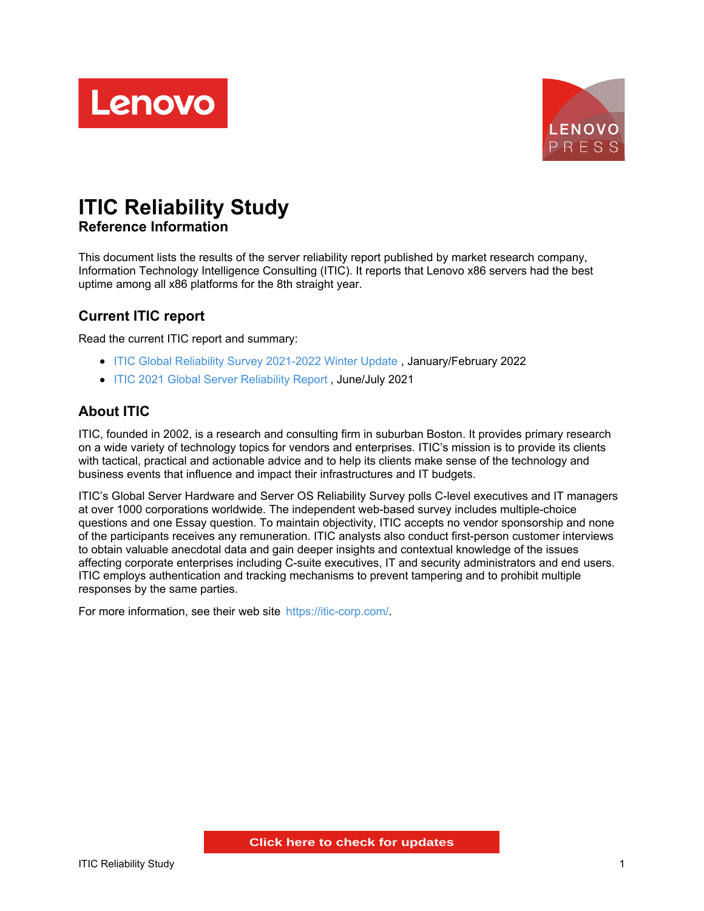



# **ITIC Reliability Study Reference Information**

This document lists the results of the server reliability report published by market research company, Information Technology Intelligence Consulting (ITIC). It reports that Lenovo x86 servers had the best uptime among all x86 platforms for the 8th straight year.

# **Current ITIC report**

Read the current ITIC report and summary:

- ITIC Global Reliability Survey [2021-2022](https://www.lenovo.com/us/en/resources/data-center-solutions/analyst-reports/itic-global-server-hardware-server-os-reliability-2021-2022-winter-update/) Winter Update , January/February 2022
- ITIC 2021 Global Server [Reliability](https://www.lenovo.com/us/en/resources/data-center-solutions/analyst-reports/itic-2021-global-server-reliability-report/) Report , June/July 2021

# **About ITIC**

ITIC, founded in 2002, is a research and consulting firm in suburban Boston. It provides primary research on a wide variety of technology topics for vendors and enterprises. ITIC's mission is to provide its clients with tactical, practical and actionable advice and to help its clients make sense of the technology and business events that influence and impact their infrastructures and IT budgets.

ITIC's Global Server Hardware and Server OS Reliability Survey polls C-level executives and IT managers at over 1000 corporations worldwide. The independent web-based survey includes multiple-choice questions and one Essay question. To maintain objectivity, ITIC accepts no vendor sponsorship and none of the participants receives any remuneration. ITIC analysts also conduct first-person customer interviews to obtain valuable anecdotal data and gain deeper insights and contextual knowledge of the issues affecting corporate enterprises including C-suite executives, IT and security administrators and end users. ITIC employs authentication and tracking mechanisms to prevent tampering and to prohibit multiple responses by the same parties.

For more information, see their web site <https://itic-corp.com/>.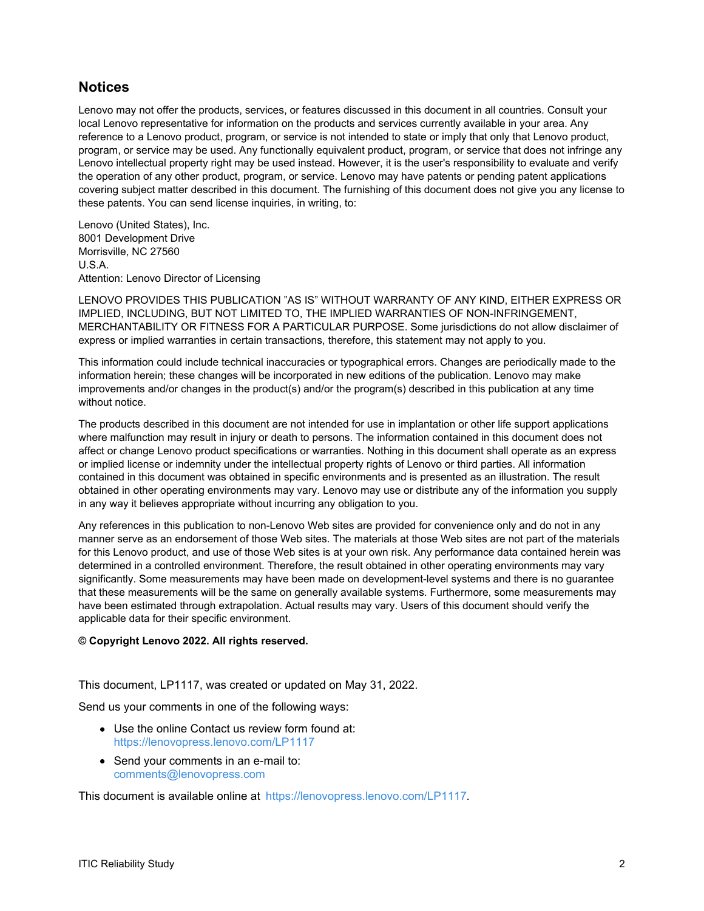### **Notices**

Lenovo may not offer the products, services, or features discussed in this document in all countries. Consult your local Lenovo representative for information on the products and services currently available in your area. Any reference to a Lenovo product, program, or service is not intended to state or imply that only that Lenovo product, program, or service may be used. Any functionally equivalent product, program, or service that does not infringe any Lenovo intellectual property right may be used instead. However, it is the user's responsibility to evaluate and verify the operation of any other product, program, or service. Lenovo may have patents or pending patent applications covering subject matter described in this document. The furnishing of this document does not give you any license to these patents. You can send license inquiries, in writing, to:

Lenovo (United States), Inc. 8001 Development Drive Morrisville, NC 27560 U.S.A. Attention: Lenovo Director of Licensing

LENOVO PROVIDES THIS PUBLICATION "AS IS" WITHOUT WARRANTY OF ANY KIND, EITHER EXPRESS OR IMPLIED, INCLUDING, BUT NOT LIMITED TO, THE IMPLIED WARRANTIES OF NON-INFRINGEMENT, MERCHANTABILITY OR FITNESS FOR A PARTICULAR PURPOSE. Some jurisdictions do not allow disclaimer of express or implied warranties in certain transactions, therefore, this statement may not apply to you.

This information could include technical inaccuracies or typographical errors. Changes are periodically made to the information herein; these changes will be incorporated in new editions of the publication. Lenovo may make improvements and/or changes in the product(s) and/or the program(s) described in this publication at any time without notice.

The products described in this document are not intended for use in implantation or other life support applications where malfunction may result in injury or death to persons. The information contained in this document does not affect or change Lenovo product specifications or warranties. Nothing in this document shall operate as an express or implied license or indemnity under the intellectual property rights of Lenovo or third parties. All information contained in this document was obtained in specific environments and is presented as an illustration. The result obtained in other operating environments may vary. Lenovo may use or distribute any of the information you supply in any way it believes appropriate without incurring any obligation to you.

Any references in this publication to non-Lenovo Web sites are provided for convenience only and do not in any manner serve as an endorsement of those Web sites. The materials at those Web sites are not part of the materials for this Lenovo product, and use of those Web sites is at your own risk. Any performance data contained herein was determined in a controlled environment. Therefore, the result obtained in other operating environments may vary significantly. Some measurements may have been made on development-level systems and there is no guarantee that these measurements will be the same on generally available systems. Furthermore, some measurements may have been estimated through extrapolation. Actual results may vary. Users of this document should verify the applicable data for their specific environment.

#### **© Copyright Lenovo 2022. All rights reserved.**

This document, LP1117, was created or updated on May 31, 2022.

Send us your comments in one of the following ways:

- Use the online Contact us review form found at: <https://lenovopress.lenovo.com/LP1117>
- Send your comments in an e-mail to: [comments@lenovopress.com](mailto:comments@lenovopress.com?subject=Feedback for LP1117)

This document is available online at <https://lenovopress.lenovo.com/LP1117>.